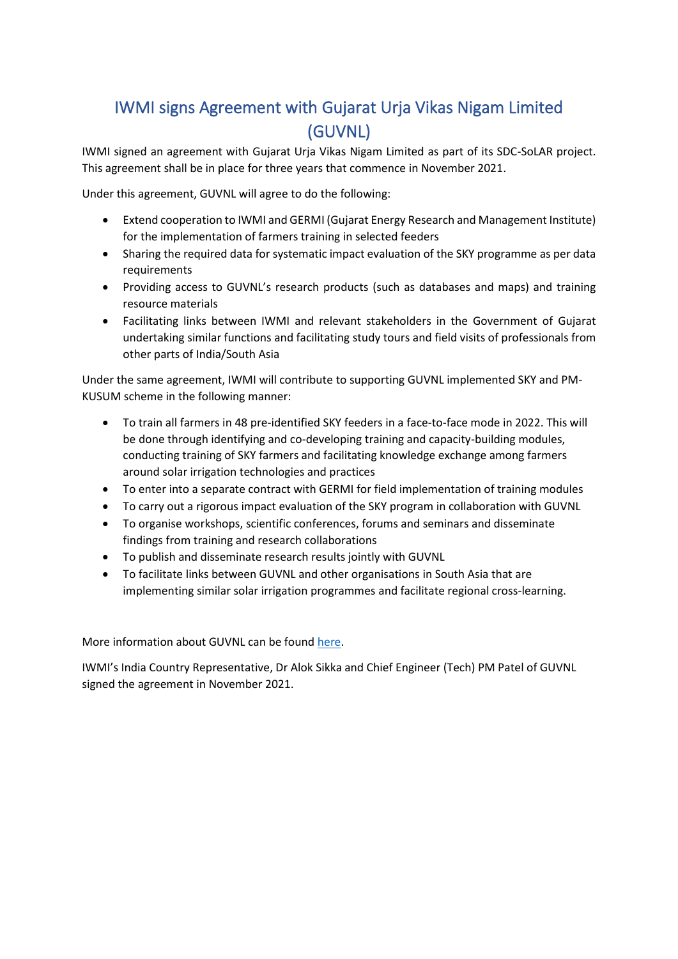## IWMI signs Agreement with Gujarat Urja Vikas Nigam Limited (GUVNL)

IWMI signed an agreement with Gujarat Urja Vikas Nigam Limited as part of its SDC-SoLAR project. This agreement shall be in place for three years that commence in November 2021.

Under this agreement, GUVNL will agree to do the following:

- Extend cooperation to IWMI and GERMI (Gujarat Energy Research and Management Institute) for the implementation of farmers training in selected feeders
- Sharing the required data for systematic impact evaluation of the SKY programme as per data requirements
- Providing access to GUVNL's research products (such as databases and maps) and training resource materials
- Facilitating links between IWMI and relevant stakeholders in the Government of Gujarat undertaking similar functions and facilitating study tours and field visits of professionals from other parts of India/South Asia

Under the same agreement, IWMI will contribute to supporting GUVNL implemented SKY and PM-KUSUM scheme in the following manner:

- To train all farmers in 48 pre-identified SKY feeders in a face-to-face mode in 2022. This will be done through identifying and co-developing training and capacity-building modules, conducting training of SKY farmers and facilitating knowledge exchange among farmers around solar irrigation technologies and practices
- To enter into a separate contract with GERMI for field implementation of training modules
- To carry out a rigorous impact evaluation of the SKY program in collaboration with GUVNL
- To organise workshops, scientific conferences, forums and seminars and disseminate findings from training and research collaborations
- To publish and disseminate research results jointly with GUVNL
- To facilitate links between GUVNL and other organisations in South Asia that are implementing similar solar irrigation programmes and facilitate regional cross-learning.

More information about GUVNL can be found [here.](https://www.guvnl.com/)

IWMI's India Country Representative, Dr Alok Sikka and Chief Engineer (Tech) PM Patel of GUVNL signed the agreement in November 2021.